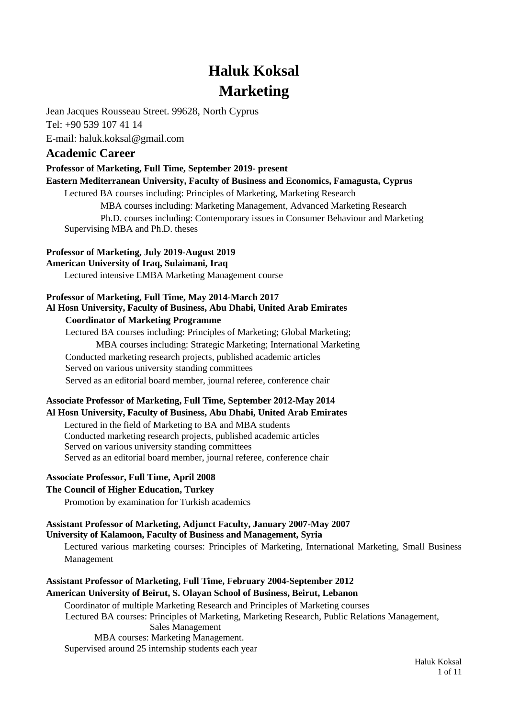# **Haluk Koksal Marketing**

Jean Jacques Rousseau Street. 99628, North Cyprus

Tel: +90 539 107 41 14

E-mail: haluk.koksal@gmail.com

# **Academic Career**

**Professor of Marketing, Full Time, September 2019- present**

**Eastern Mediterranean University, Faculty of Business and Economics, Famagusta, Cyprus**

Lectured BA courses including: Principles of Marketing, Marketing Research

MBA courses including: Marketing Management, Advanced Marketing Research Ph.D. courses including: Contemporary issues in Consumer Behaviour and Marketing Supervising MBA and Ph.D. theses

# **Professor of Marketing, July 2019-August 2019**

**American University of Iraq, Sulaimani, Iraq**

Lectured intensive EMBA Marketing Management course

# **Professor of Marketing, Full Time, May 2014-March 2017 Al Hosn University, Faculty of Business, Abu Dhabi, United Arab Emirates**

# **Coordinator of Marketing Programme**

Lectured BA courses including: Principles of Marketing; Global Marketing; MBA courses including: Strategic Marketing; International Marketing Conducted marketing research projects, published academic articles Served on various university standing committees Served as an editorial board member, journal referee, conference chair

# **Associate Professor of Marketing, Full Time, September 2012-May 2014**

# **Al Hosn University, Faculty of Business, Abu Dhabi, United Arab Emirates**

Lectured in the field of Marketing to BA and MBA students Conducted marketing research projects, published academic articles Served on various university standing committees Served as an editorial board member, journal referee, conference chair

# **Associate Professor, Full Time, April 2008**

# **The Council of Higher Education, Turkey**

Promotion by examination for Turkish academics

#### **Assistant Professor of Marketing, Adjunct Faculty, January 2007-May 2007 University of Kalamoon, Faculty of Business and Management, Syria**

Lectured various marketing courses: Principles of Marketing, International Marketing, Small Business Management

# **Assistant Professor of Marketing, Full Time, February 2004-September 2012 American University of Beirut, S. Olayan School of Business, Beirut, Lebanon**

Coordinator of multiple Marketing Research and Principles of Marketing courses Lectured BA courses: Principles of Marketing, Marketing Research, Public Relations Management, Sales Management MBA courses: Marketing Management. Supervised around 25 internship students each year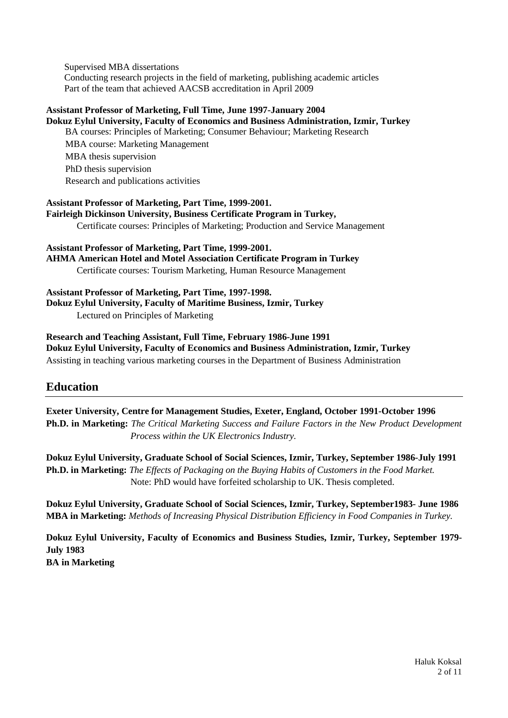Supervised MBA dissertations Conducting research projects in the field of marketing, publishing academic articles Part of the team that achieved AACSB accreditation in April 2009

#### **Assistant Professor of Marketing, Full Time, June 1997-January 2004 Dokuz Eylul University, Faculty of Economics and Business Administration, Izmir, Turkey**

BA courses: Principles of Marketing; Consumer Behaviour; Marketing Research MBA course: Marketing Management MBA thesis supervision PhD thesis supervision Research and publications activities

# **Assistant Professor of Marketing, Part Time, 1999-2001. Fairleigh Dickinson University, Business Certificate Program in Turkey,**  Certificate courses: Principles of Marketing; Production and Service Management

**Assistant Professor of Marketing, Part Time, 1999-2001. AHMA American Hotel and Motel Association Certificate Program in Turkey** Certificate courses: Tourism Marketing, Human Resource Management

#### **Assistant Professor of Marketing, Part Time, 1997-1998. Dokuz Eylul University, Faculty of Maritime Business, Izmir, Turkey** Lectured on Principles of Marketing

**Research and Teaching Assistant, Full Time, February 1986-June 1991 Dokuz Eylul University, Faculty of Economics and Business Administration, Izmir, Turkey** Assisting in teaching various marketing courses in the Department of Business Administration

# **Education**

**Exeter University, Centre for Management Studies, Exeter, England, October 1991-October 1996 Ph.D. in Marketing:** *The Critical Marketing Success and Failure Factors in the New Product Development Process within the UK Electronics Industry.*

**Dokuz Eylul University, Graduate School of Social Sciences, Izmir, Turkey, September 1986-July 1991 Ph.D. in Marketing:** *The Effects of Packaging on the Buying Habits of Customers in the Food Market.* Note: PhD would have forfeited scholarship to UK. Thesis completed.

**Dokuz Eylul University, Graduate School of Social Sciences, Izmir, Turkey, September1983- June 1986 MBA in Marketing:** *Methods of Increasing Physical Distribution Efficiency in Food Companies in Turkey.*

**Dokuz Eylul University, Faculty of Economics and Business Studies, Izmir, Turkey, September 1979- July 1983 BA in Marketing**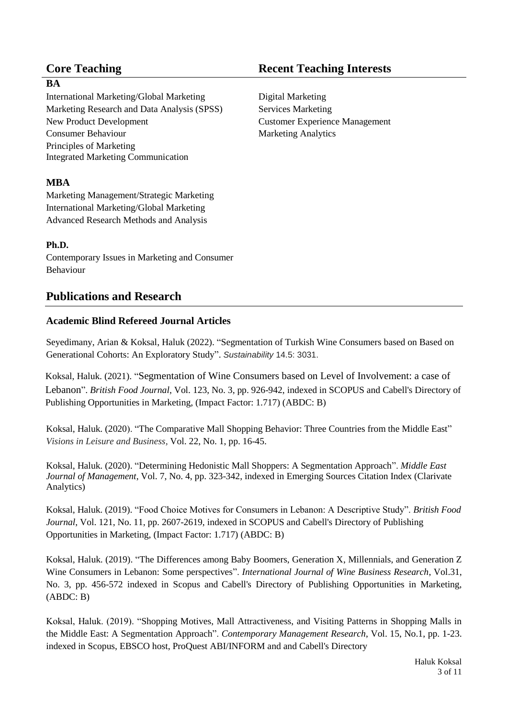# **BA**

International Marketing/Global Marketing Digital Marketing Marketing Research and Data Analysis (SPSS) New Product Development Consumer Behaviour Principles of Marketing Integrated Marketing Communication

# **MBA**

Marketing Management/Strategic Marketing International Marketing/Global Marketing Advanced Research Methods and Analysis

# **Ph.D.**

Contemporary Issues in Marketing and Consumer Behaviour

# **Publications and Research**

# **Academic Blind Refereed Journal Articles**

Seyedimany, Arian & Koksal, Haluk (2022). "Segmentation of Turkish Wine Consumers based on Based on Generational Cohorts: An Exploratory Study". *Sustainability* 14.5: 3031.

Koksal, Haluk. (2021). "Segmentation of Wine Consumers based on Level of Involvement: a case of Lebanon". *British Food Journal*, Vol. 123, No. 3, pp. 926-942, indexed in SCOPUS and Cabell's Directory of Publishing Opportunities in Marketing, (Impact Factor: 1.717) (ABDC: B)

Koksal, Haluk. (2020). "The Comparative Mall Shopping Behavior: Three Countries from the Middle East" *Visions in Leisure and Business,* Vol. 22, No. 1, pp. 16-45.

Koksal, Haluk. (2020). "Determining Hedonistic Mall Shoppers: A Segmentation Approach". *Middle East Journal of Management*, Vol. 7, No. 4, pp. 323-342, indexed i[n Emerging Sources Citation Index \(Clarivate](http://wokinfo.com/products_tools/multidisciplinary/esci/)  [Analytics\)](http://wokinfo.com/products_tools/multidisciplinary/esci/)

Koksal, Haluk. (2019). "Food Choice Motives for Consumers in Lebanon: A Descriptive Study". *British Food Journal*, Vol. 121, No. 11, pp. 2607-2619, indexed in SCOPUS and Cabell's Directory of Publishing Opportunities in Marketing, (Impact Factor: 1.717) (ABDC: B)

Koksal, Haluk. (2019). "The Differences among Baby Boomers, Generation X, Millennials, and Generation Z Wine Consumers in Lebanon: Some perspectives". *International Journal of Wine Business Research*, Vol.31, No. 3, pp. 456-572 indexed in Scopus and Cabell's Directory of Publishing Opportunities in Marketing, (ABDC: B)

Koksal, Haluk. (2019). "Shopping Motives, Mall Attractiveness, and Visiting Patterns in Shopping Malls in the Middle East: A Segmentation Approach". *Contemporary Management Research*, Vol. 15, No.1, pp. 1-23. indexed in [Scopus,](https://www.cmr-journal.org/libraryFiles/downloadPublic/7) EBSCO host, ProQuest ABI/INFORM and and Cabell's Directory

# **Core Teaching Core Teaching Interests**

Services Marketing Customer Experience Management Marketing Analytics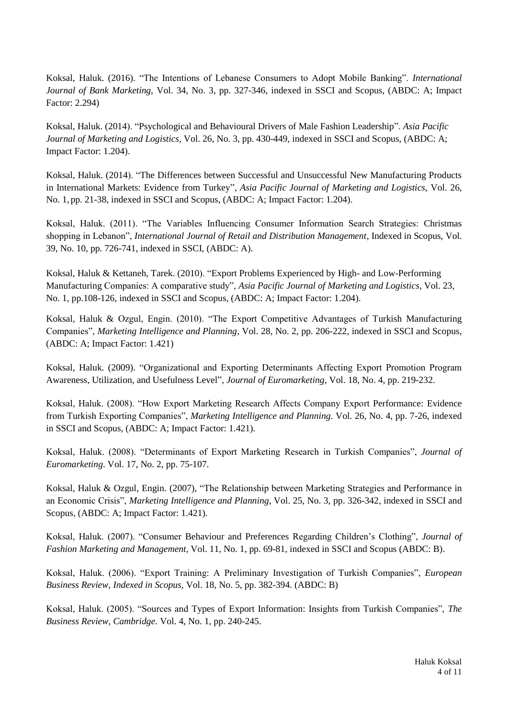Koksal, Haluk. (2016). "The Intentions of Lebanese Consumers to Adopt Mobile Banking". *International Journal of Bank Marketing,* Vol. 34, No. 3, pp. 327-346, indexed in SSCI and Scopus, (ABDC: A; Impact Factor: 2.294)

Koksal, Haluk. (2014). "Psychological and Behavioural Drivers of Male Fashion Leadership". *Asia Pacific Journal of Marketing and Logistics,* Vol. 26, No. 3, pp. 430-449, indexed in SSCI and Scopus, (ABDC: A; Impact Factor: 1.204).

Koksal, Haluk. (2014). "The Differences between Successful and Unsuccessful New Manufacturing Products in International Markets: Evidence from Turkey", *Asia Pacific Journal of Marketing and Logistics,* Vol. 26, No. 1, pp. 21-38, indexed in SSCI and Scopus, (ABDC: A; Impact Factor: 1.204).

Koksal, Haluk. (2011). "The Variables Influencing Consumer Information Search Strategies: Christmas shopping in Lebanon", *International Journal of Retail and Distribution Management*, Indexed in Scopus, Vol. 39, No. 10, pp. 726-741, indexed in SSCI, (ABDC: A).

Koksal, Haluk & Kettaneh, Tarek. (2010). "Export Problems Experienced by High- and Low-Performing Manufacturing Companies: A comparative study", *Asia Pacific Journal of Marketing and Logistics,* Vol. 23, No. 1, pp.108-126, indexed in SSCI and Scopus, (ABDC: A; Impact Factor: 1.204).

Koksal, Haluk & Ozgul, Engin. (2010). "The Export Competitive Advantages of Turkish Manufacturing Companies", *Marketing Intelligence and Planning,* Vol. 28, No. 2, pp. 206-222, indexed in SSCI and Scopus, (ABDC: A; Impact Factor: 1.421)

Koksal, Haluk. (2009). "Organizational and Exporting Determinants Affecting Export Promotion Program Awareness, Utilization, and Usefulness Level", *Journal of Euromarketing,* Vol. 18, No. 4, pp. 219-232.

Koksal, Haluk. (2008). "How Export Marketing Research Affects Company Export Performance: Evidence from Turkish Exporting Companies", *Marketing Intelligence and Planning*. Vol. 26, No. 4, pp. 7-26, indexed in SSCI and Scopus, (ABDC: A; Impact Factor: 1.421).

Koksal, Haluk. (2008). "Determinants of Export Marketing Research in Turkish Companies", *Journal of Euromarketing*. Vol. 17, No. 2, pp. 75-107.

Koksal, Haluk & Ozgul, Engin. (2007), "The Relationship between Marketing Strategies and Performance in an Economic Crisis", *Marketing Intelligence and Planning*, Vol. 25, No. 3, pp. 326-342, indexed in SSCI and Scopus, (ABDC: A; Impact Factor: 1.421).

Koksal, Haluk. (2007). "Consumer Behaviour and Preferences Regarding Children's Clothing", *Journal of Fashion Marketing and Management*, Vol. 11, No. 1, pp. 69-81, indexed in SSCI and Scopus (ABDC: B).

Koksal, Haluk. (2006). "Export Training: A Preliminary Investigation of Turkish Companies", *European Business Review, Indexed in Scopus,* Vol. 18, No. 5, pp. 382-394. (ABDC: B)

Koksal, Haluk. (2005). "Sources and Types of Export Information: Insights from Turkish Companies", *The Business Review, Cambridge.* Vol. 4, No. 1, pp. 240-245.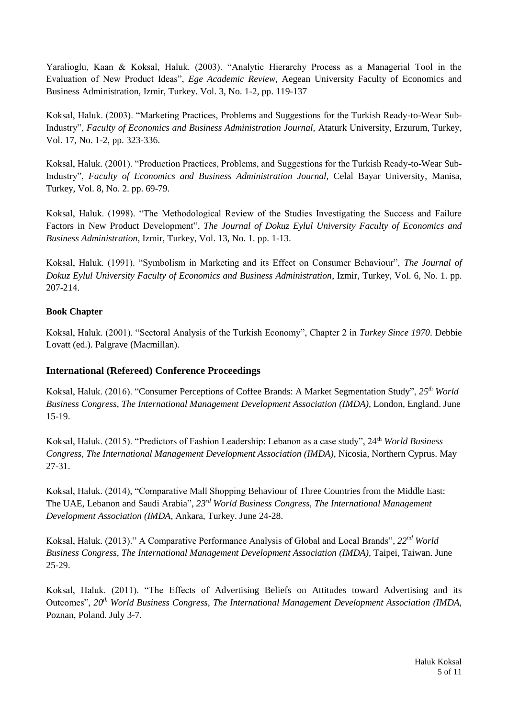Yaralioglu, Kaan & Koksal, Haluk. (2003). "Analytic Hierarchy Process as a Managerial Tool in the Evaluation of New Product Ideas", *Ege Academic Review*, Aegean University Faculty of Economics and Business Administration, Izmir, Turkey. Vol. 3, No. 1-2, pp. 119-137

Koksal, Haluk. (2003). "Marketing Practices, Problems and Suggestions for the Turkish Ready-to-Wear Sub-Industry", *Faculty of Economics and Business Administration Journal,* Ataturk University, Erzurum, Turkey, Vol. 17, No. 1-2, pp. 323-336.

Koksal, Haluk. (2001). "Production Practices, Problems, and Suggestions for the Turkish Ready-to-Wear Sub-Industry", *Faculty of Economics and Business Administration Journal,* Celal Bayar University, Manisa, Turkey, Vol. 8, No. 2. pp. 69-79.

Koksal, Haluk. (1998). "The Methodological Review of the Studies Investigating the Success and Failure Factors in New Product Development", *The Journal of Dokuz Eylul University Faculty of Economics and Business Administration*, Izmir, Turkey, Vol. 13, No. 1. pp. 1-13.

Koksal, Haluk. (1991). "Symbolism in Marketing and its Effect on Consumer Behaviour", *The Journal of Dokuz Eylul University Faculty of Economics and Business Administration*, Izmir, Turkey, Vol. 6, No. 1. pp. 207-214.

# **Book Chapter**

Koksal, Haluk. (2001). "Sectoral Analysis of the Turkish Economy", Chapter 2 in *Turkey Since 1970*. Debbie Lovatt (ed.). Palgrave (Macmillan).

# **International (Refereed) Conference Proceedings**

Koksal, Haluk. (2016). "Consumer Perceptions of Coffee Brands: A Market Segmentation Study", *25th World Business Congress, The International Management Development Association (IMDA),* London, England. June 15-19.

Koksal, Haluk. (2015). "Predictors of Fashion Leadership: Lebanon as a case study", 24th *World Business Congress, The International Management Development Association (IMDA),* Nicosia, Northern Cyprus. May 27-31.

Koksal, Haluk. (2014), "Comparative Mall Shopping Behaviour of Three Countries from the Middle East: The UAE, Lebanon and Saudi Arabia", *23rd World Business Congress, The International Management Development Association (IMDA,* Ankara, Turkey. June 24-28.

Koksal, Haluk. (2013)." A Comparative Performance Analysis of Global and Local Brands", 22<sup>nd</sup> World *Business Congress, The International Management Development Association (IMDA),* Taipei, Taiwan. June 25-29.

Koksal, Haluk. (2011). "The Effects of Advertising Beliefs on Attitudes toward Advertising and its Outcomes", *20th World Business Congress, The International Management Development Association (IMDA,* Poznan, Poland. July 3-7.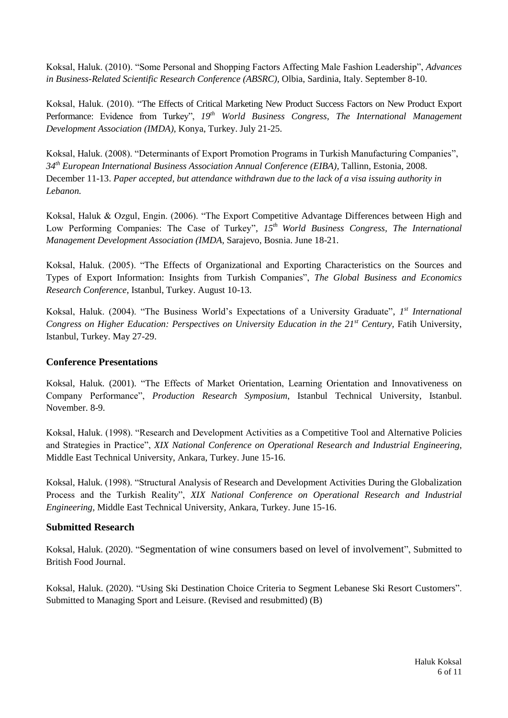Koksal, Haluk. (2010). "Some Personal and Shopping Factors Affecting Male Fashion Leadership", *Advances in Business-Related Scientific Research Conference (ABSRC),* Olbia, Sardinia, Italy. September 8-10.

Koksal, Haluk. (2010). "The Effects of Critical Marketing New Product Success Factors on New Product Export Performance: Evidence from Turkey", *19th World Business Congress, The International Management Development Association (IMDA),* Konya, Turkey. July 21-25.

Koksal, Haluk. (2008). "Determinants of Export Promotion Programs in Turkish Manufacturing Companies", *34th European International Business Association Annual Conference (EIBA),* Tallinn, Estonia, 2008. December 11-13. *Paper accepted, but attendance withdrawn due to the lack of a visa issuing authority in Lebanon.*

Koksal, Haluk & Ozgul, Engin. (2006). "The Export Competitive Advantage Differences between High and Low Performing Companies: The Case of Turkey", *15th World Business Congress, The International Management Development Association (IMDA,* Sarajevo, Bosnia. June 18-21.

Koksal, Haluk. (2005). "The Effects of Organizational and Exporting Characteristics on the Sources and Types of Export Information: Insights from Turkish Companies", *The Global Business and Economics Research Conference,* Istanbul, Turkey. August 10-13.

Koksal, Haluk. (2004). "The Business World's Expectations of a University Graduate", 1<sup>st</sup> International *Congress on Higher Education: Perspectives on University Education in the 21st Century,* Fatih University, Istanbul, Turkey. May 27-29.

# **Conference Presentations**

Koksal, Haluk. (2001). "The Effects of Market Orientation, Learning Orientation and Innovativeness on Company Performance", *Production Research Symposium*, Istanbul Technical University, Istanbul. November. 8-9.

Koksal, Haluk. (1998). "Research and Development Activities as a Competitive Tool and Alternative Policies and Strategies in Practice", *XIX National Conference on Operational Research and Industrial Engineering,* Middle East Technical University, Ankara, Turkey. June 15-16.

Koksal, Haluk. (1998). "Structural Analysis of Research and Development Activities During the Globalization Process and the Turkish Reality", *XIX National Conference on Operational Research and Industrial Engineering,* Middle East Technical University, Ankara, Turkey. June 15-16.

# **Submitted Research**

Koksal, Haluk. (2020). "Segmentation of wine consumers based on level of involvement", Submitted to British Food Journal.

Koksal, Haluk. (2020). "Using Ski Destination Choice Criteria to Segment Lebanese Ski Resort Customers". Submitted to Managing Sport and Leisure. (Revised and resubmitted) (B)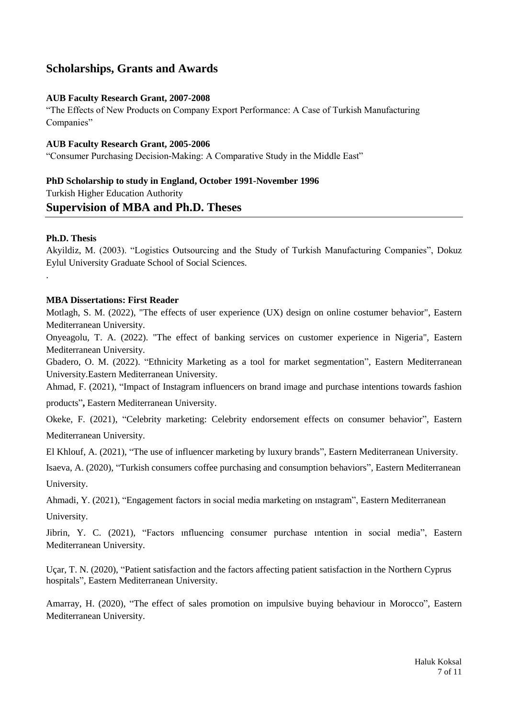# **Scholarships, Grants and Awards**

# **AUB Faculty Research Grant, 2007-2008**

"The Effects of New Products on Company Export Performance: A Case of Turkish Manufacturing Companies"

#### **AUB Faculty Research Grant, 2005-2006**

"Consumer Purchasing Decision-Making: A Comparative Study in the Middle East"

# **PhD Scholarship to study in England, October 1991-November 1996** Turkish Higher Education Authority

# **Supervision of MBA and Ph.D. Theses**

# **Ph.D. Thesis**

.

Akyildiz, M. (2003). "Logistics Outsourcing and the Study of Turkish Manufacturing Companies", Dokuz Eylul University Graduate School of Social Sciences.

# **MBA Dissertations: First Reader**

Motlagh, S. M. (2022), "The effects of user experience (UX) design on online costumer behavior", Eastern Mediterranean University.

Onyeagolu, T. A. (2022). "The effect of banking services on customer experience in Nigeria", Eastern Mediterranean University.

Gbadero, O. M. (2022). "Ethnicity Marketing as a tool for market segmentation", Eastern Mediterranean University.Eastern Mediterranean University.

Ahmad, F. (2021), "Impact of Instagram influencers on brand image and purchase intentions towards fashion

products"**,** Eastern Mediterranean University.

Okeke, F. (2021), "Celebrity marketing: Celebrity endorsement effects on consumer behavior", Eastern Mediterranean University.

El Khlouf, A. (2021), "The use of influencer marketing by luxury brands", Eastern Mediterranean University.

Isaeva, A. (2020), "Turkish consumers coffee purchasing and consumption behaviors", Eastern Mediterranean University.

Ahmadi, Y. (2021), "Engagement factors in social media marketing on ınstagram", Eastern Mediterranean

University.

Jibrin, Y. C. (2021), "Factors ınfluencing consumer purchase ıntention in social media", Eastern Mediterranean University.

Uçar, T. N. (2020), "Patient satisfaction and the factors affecting patient satisfaction in the Northern Cyprus hospitals", Eastern Mediterranean University.

Amarray, H. (2020), "The effect of sales promotion on impulsive buying behaviour in Morocco", Eastern Mediterranean University.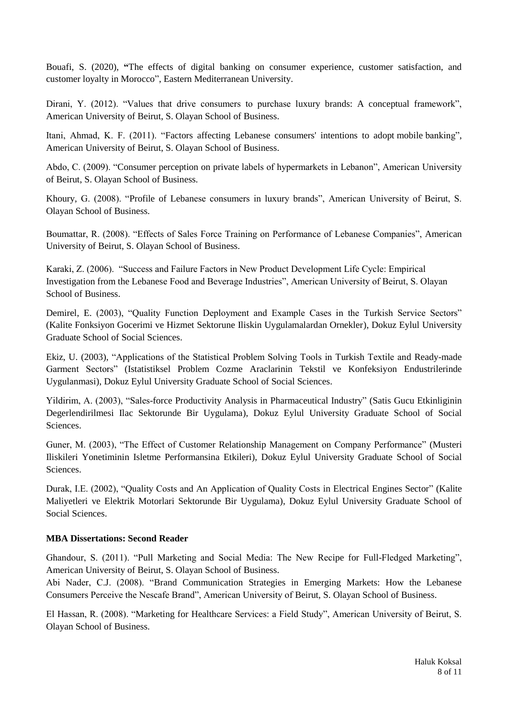Bouafi, S. (2020), **"**The effects of digital banking on consumer experience, customer satisfaction, and customer loyalty in Morocco", Eastern Mediterranean University.

Dirani, Y. (2012). "Values that drive consumers to purchase luxury brands: A conceptual framework", American University of Beirut, S. Olayan School of Business.

Itani, Ahmad, K. F. (2011). "Factors affecting Lebanese consumers' intentions to adopt mobile banking", American University of Beirut, S. Olayan School of Business.

Abdo, C. (2009). "Consumer perception on private labels of hypermarkets in Lebanon", American University of Beirut, S. Olayan School of Business.

Khoury, G. (2008). "Profile of Lebanese consumers in luxury brands", American University of Beirut, S. Olayan School of Business.

Boumattar, R. (2008). "Effects of Sales Force Training on Performance of Lebanese Companies", American University of Beirut, S. Olayan School of Business.

Karaki, Z. (2006). "Success and Failure Factors in New Product Development Life Cycle: Empirical Investigation from the Lebanese Food and Beverage Industries", American University of Beirut, S. Olayan School of Business.

Demirel, E. (2003), "Quality Function Deployment and Example Cases in the Turkish Service Sectors" (Kalite Fonksiyon Gocerimi ve Hizmet Sektorune Iliskin Uygulamalardan Ornekler), Dokuz Eylul University Graduate School of Social Sciences.

Ekiz, U. (2003), "Applications of the Statistical Problem Solving Tools in Turkish Textile and Ready-made Garment Sectors" (Istatistiksel Problem Cozme Araclarinin Tekstil ve Konfeksiyon Endustrilerinde Uygulanmasi), Dokuz Eylul University Graduate School of Social Sciences.

Yildirim, A. (2003), "Sales-force Productivity Analysis in Pharmaceutical Industry" (Satis Gucu Etkinliginin Degerlendirilmesi Ilac Sektorunde Bir Uygulama), Dokuz Eylul University Graduate School of Social Sciences.

Guner, M. (2003), "The Effect of Customer Relationship Management on Company Performance" (Musteri Iliskileri Yonetiminin Isletme Performansina Etkileri), Dokuz Eylul University Graduate School of Social Sciences.

Durak, I.E. (2002), "Quality Costs and An Application of Quality Costs in Electrical Engines Sector" (Kalite Maliyetleri ve Elektrik Motorlari Sektorunde Bir Uygulama), Dokuz Eylul University Graduate School of Social Sciences.

# **MBA Dissertations: Second Reader**

Ghandour, S. (2011). "Pull Marketing and Social Media: The New Recipe for Full-Fledged Marketing", American University of Beirut, S. Olayan School of Business.

Abi Nader, C.J. (2008). "Brand Communication Strategies in Emerging Markets: How the Lebanese Consumers Perceive the Nescafe Brand", American University of Beirut, S. Olayan School of Business.

El Hassan, R. (2008). "Marketing for Healthcare Services: a Field Study", American University of Beirut, S. Olayan School of Business.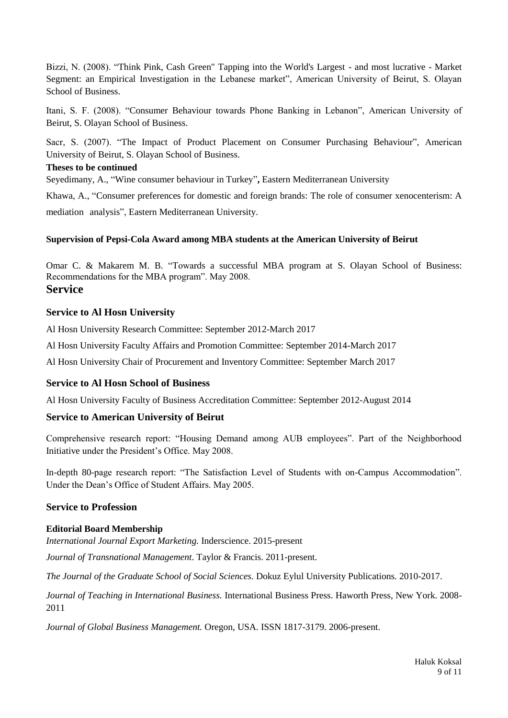Bizzi, N. (2008). "Think Pink, Cash Green" Tapping into the World's Largest - and most lucrative - Market Segment: an Empirical Investigation in the Lebanese market", American University of Beirut, S. Olayan School of Business.

Itani, S. F. (2008). "Consumer Behaviour towards Phone Banking in Lebanon", American University of Beirut, S. Olayan School of Business.

Sacr, S. (2007). "The Impact of Product Placement on Consumer Purchasing Behaviour", American University of Beirut, S. Olayan School of Business.

# **Theses to be continued**

Seyedimany, A., "Wine consumer behaviour in Turkey"**,** Eastern Mediterranean University

Khawa, A., "Consumer preferences for domestic and foreign brands: The role of consumer xenocenterism: A mediation analysis", Eastern Mediterranean University.

# **Supervision of Pepsi-Cola Award among MBA students at the American University of Beirut**

Omar C. & Makarem M. B. "Towards a successful MBA program at S. Olayan School of Business: Recommendations for the MBA program". May 2008. **Service**

# **Service to Al Hosn University**

Al Hosn University Research Committee: September 2012-March 2017

Al Hosn University Faculty Affairs and Promotion Committee: September 2014-March 2017

Al Hosn University Chair of Procurement and Inventory Committee: September March 2017

# **Service to Al Hosn School of Business**

Al Hosn University Faculty of Business Accreditation Committee: September 2012-August 2014

# **Service to American University of Beirut**

Comprehensive research report: "Housing Demand among AUB employees". Part of the Neighborhood Initiative under the President's Office. May 2008.

In-depth 80-page research report: "The Satisfaction Level of Students with on-Campus Accommodation". Under the Dean's Office of Student Affairs. May 2005.

# **Service to Profession**

# **Editorial Board Membership**

*International Journal Export Marketing.* Inderscience. 2015-present

*Journal of Transnational Management*. Taylor & Francis. 2011-present.

*The Journal of the Graduate School of Social Sciences.* Dokuz Eylul University Publications. 2010-2017.

*Journal of Teaching in International Business.* International Business Press. Haworth Press, New York. 2008- 2011

*Journal of Global Business Management.* Oregon, USA. ISSN 1817-3179. 2006-present.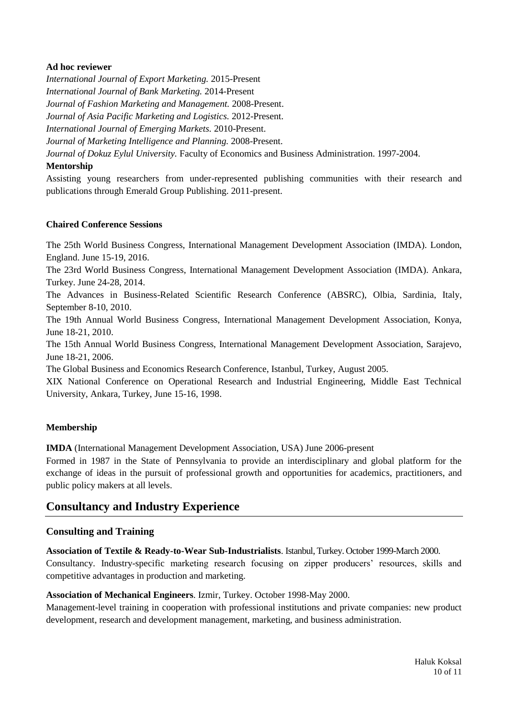# **Ad hoc reviewer**

*International Journal of Export Marketing.* 2015-Present *International Journal of Bank Marketing.* 2014-Present *Journal of Fashion Marketing and Management.* 2008-Present. *Journal of Asia Pacific Marketing and Logistics.* 2012-Present. *International Journal of Emerging Markets.* 2010-Present. *Journal of Marketing Intelligence and Planning.* 2008-Present. *Journal of Dokuz Eylul University.* Faculty of Economics and Business Administration. 1997-2004.

# **Mentorship**

Assisting young researchers from under-represented publishing communities with their research and publications through Emerald Group Publishing. 2011-present.

# **Chaired Conference Sessions**

The 25th World Business Congress, International Management Development Association (IMDA). London, England. June 15-19, 2016.

The 23rd World Business Congress, International Management Development Association (IMDA). Ankara, Turkey. June 24-28, 2014.

The Advances in Business-Related Scientific Research Conference (ABSRC), Olbia, Sardinia, Italy, September 8-10, 2010.

The 19th Annual World Business Congress, International Management Development Association, Konya, June 18-21, 2010.

The 15th Annual World Business Congress, International Management Development Association, Sarajevo, June 18-21, 2006.

The Global Business and Economics Research Conference, Istanbul, Turkey, August 2005.

XIX National Conference on Operational Research and Industrial Engineering, Middle East Technical University, Ankara, Turkey, June 15-16, 1998.

# **Membership**

**IMDA** (International Management Development Association, USA) June 2006-present

Formed in 1987 in the State of Pennsylvania to provide an interdisciplinary and global platform for the exchange of ideas in the pursuit of professional growth and opportunities for academics, practitioners, and public policy makers at all levels.

# **Consultancy and Industry Experience**

# **Consulting and Training**

**Association of Textile & Ready-to-Wear Sub-Industrialists**. Istanbul, Turkey. October 1999-March 2000. Consultancy. Industry-specific marketing research focusing on zipper producers' resources, skills and competitive advantages in production and marketing.

#### **Association of Mechanical Engineers**. Izmir, Turkey. October 1998-May 2000.

Management-level training in cooperation with professional institutions and private companies: new product development, research and development management, marketing, and business administration.